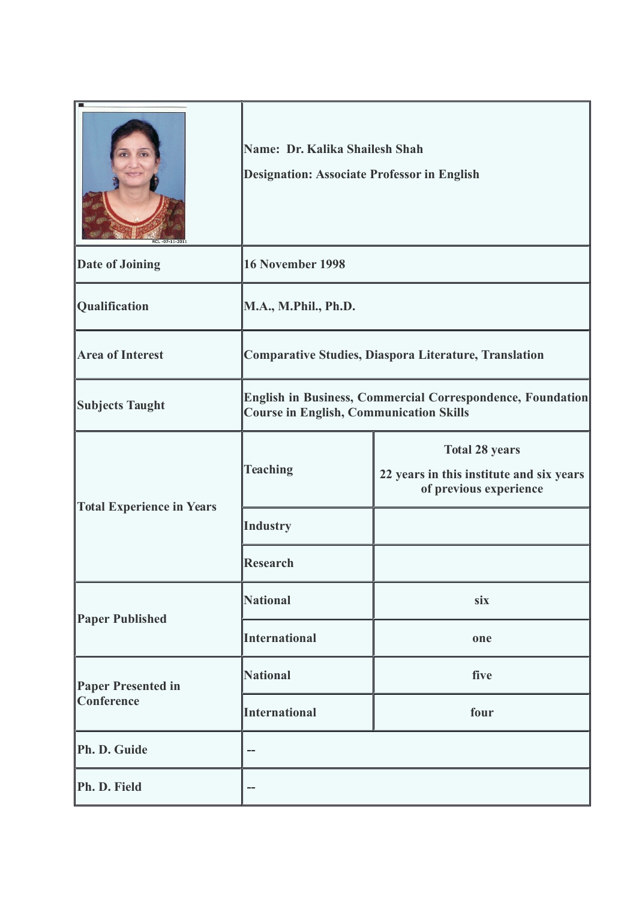|                                         | Name: Dr. Kalika Shailesh Shah<br><b>Designation: Associate Professor in English</b>                         |                                                                                             |
|-----------------------------------------|--------------------------------------------------------------------------------------------------------------|---------------------------------------------------------------------------------------------|
| <b>Date of Joining</b>                  | 16 November 1998                                                                                             |                                                                                             |
| Qualification                           | M.A., M.Phil., Ph.D.                                                                                         |                                                                                             |
| <b>Area of Interest</b>                 | Comparative Studies, Diaspora Literature, Translation                                                        |                                                                                             |
| <b>Subjects Taught</b>                  | English in Business, Commercial Correspondence, Foundation<br><b>Course in English, Communication Skills</b> |                                                                                             |
| <b>Total Experience in Years</b>        | <b>Teaching</b>                                                                                              | <b>Total 28 years</b><br>22 years in this institute and six years<br>of previous experience |
|                                         | <b>Industry</b>                                                                                              |                                                                                             |
|                                         | <b>Research</b>                                                                                              |                                                                                             |
| <b>Paper Published</b>                  | <b>National</b>                                                                                              | six                                                                                         |
|                                         | <b>International</b>                                                                                         | one                                                                                         |
| <b>Paper Presented in</b><br>Conference | <b>National</b>                                                                                              | five                                                                                        |
|                                         | <b>International</b>                                                                                         | four                                                                                        |
| Ph. D. Guide                            | --                                                                                                           |                                                                                             |
| Ph. D. Field                            | --                                                                                                           |                                                                                             |